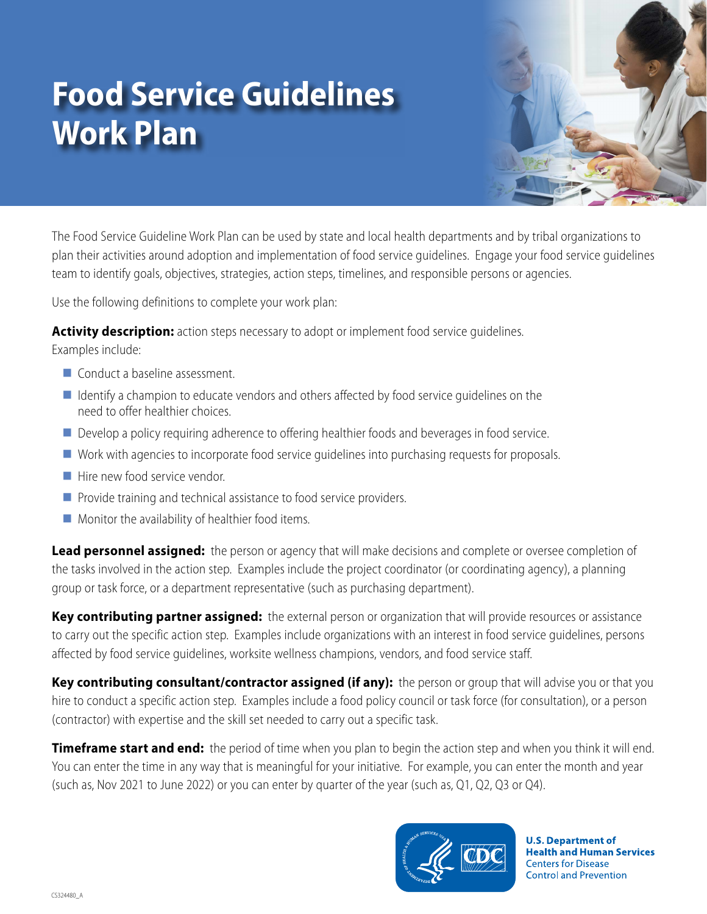# **Food Service Guidelines Work Plan**



The Food Service Guideline Work Plan can be used by state and local health departments and by tribal organizations to plan their activities around adoption and implementation of food service guidelines. Engage your food service guidelines team to identify goals, objectives, strategies, action steps, timelines, and responsible persons or agencies.

Use the following definitions to complete your work plan:

**Activity description:** action steps necessary to adopt or implement food service quidelines.

Examples include:

- Conduct a baseline assessment.
- $\blacksquare$  Identify a champion to educate vendors and others affected by food service quidelines on the need to offer healthier choices.
- Develop a policy requiring adherence to offering healthier foods and beverages in food service.
- Work with agencies to incorporate food service guidelines into purchasing requests for proposals.
- Hire new food service vendor.
- **Provide training and technical assistance to food service providers.**
- **Monitor the availability of healthier food items.**

**Lead personnel assigned:** the person or agency that will make decisions and complete or oversee completion of the tasks involved in the action step. Examples include the project coordinator (or coordinating agency), a planning group or task force, or a department representative (such as purchasing department).

**Key contributing partner assigned:** the external person or organization that will provide resources or assistance to carry out the specific action step. Examples include organizations with an interest in food service guidelines, persons affected by food service guidelines, worksite wellness champions, vendors, and food service staff.

**Key contributing consultant/contractor assigned (if any):** the person or group that will advise you or that you hire to conduct a specific action step. Examples include a food policy council or task force (for consultation), or a person (contractor) with expertise and the skill set needed to carry out a specific task.

**Timeframe start and end:** the period of time when you plan to begin the action step and when you think it will end. You can enter the time in any way that is meaningful for your initiative. For example, you can enter the month and year (such as, Nov 2021 to June 2022) or you can enter by quarter of the year (such as, Q1, Q2, Q3 or Q4).



**U.S. Department of Health and Human Services Centers for Disease Control and Prevention**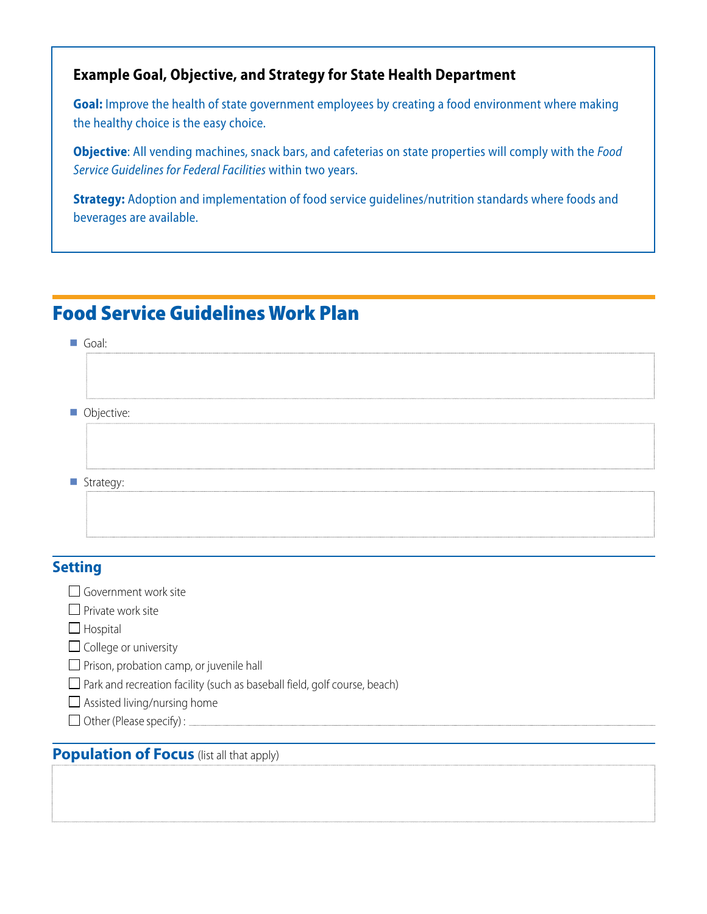#### **Example Goal, Objective, and Strategy for State Health Department**

**Goal:** Improve the health of state government employees by creating a food environment where making the healthy choice is the easy choice.

**Objective**: All vending machines, snack bars, and cafeterias on state properties will comply with the *Food Service Guidelines for Federal Facilities* within two years.

**Strategy:** Adoption and implementation of food service guidelines/nutrition standards where foods and beverages are available.

## Food Service Guidelines Work Plan

| Goal:      |  |
|------------|--|
|            |  |
|            |  |
|            |  |
|            |  |
| Objective: |  |
|            |  |
|            |  |
|            |  |
|            |  |
|            |  |
| Strategy:  |  |
|            |  |
|            |  |
|            |  |

### **Setting**

| $\lrcorner$ Government work site |
|----------------------------------|
|----------------------------------|

 $\Box$  Private work site

 $\Box$  Hospital

 $\Box$  College or university

 $\Box$  Prison, probation camp, or juvenile hall

 $\Box$  Park and recreation facility (such as baseball field, golf course, beach)

 $\Box$  Assisted living/nursing home

Other (Please specify) :

**Population of Focus** (list all that apply)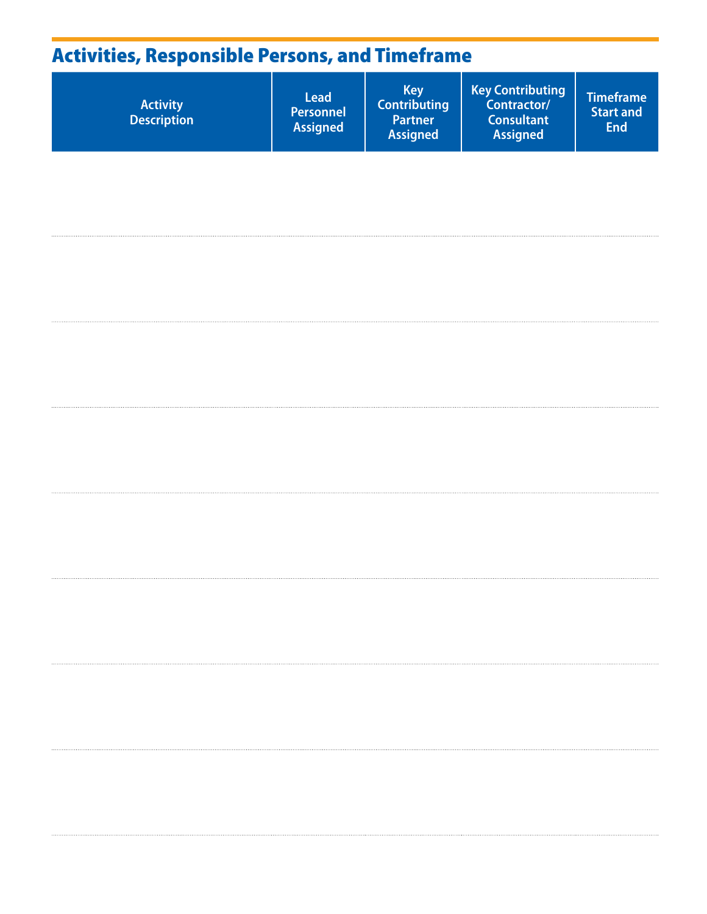## Activities, Responsible Persons, and Timeframe